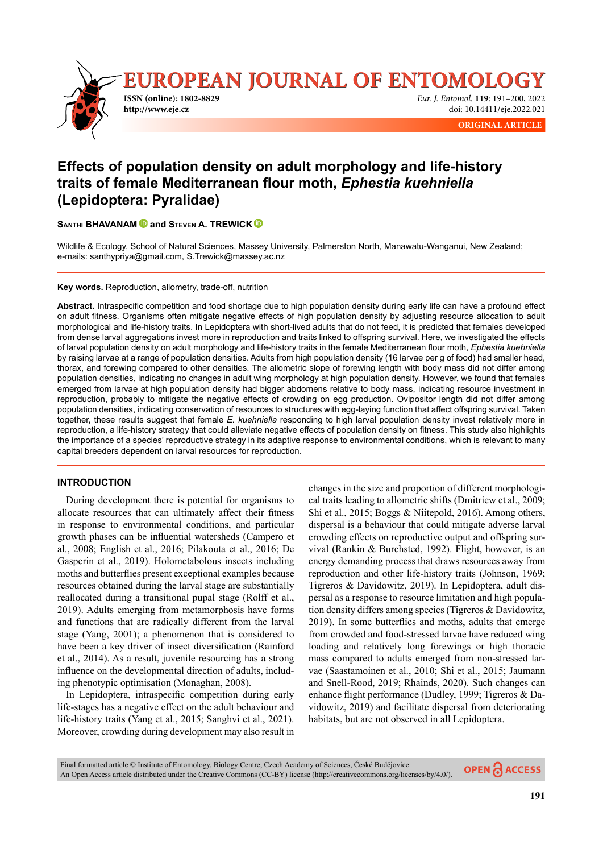

# **Effects of population density on adult morphology and life-history traits of female Mediterranean fl our moth,** *Ephestia kuehniella* **(Lepidoptera: Pyralidae)**

**SANTHI BHAVANAM** and STEVEN A. TREWICK

Wildlife & Ecology, School of Natural Sciences, Massey University, Palmerston North, Manawatu-Wanganui, New Zealand; e-mails: santhypriya@gmail.com, S.Trewick@massey.ac.nz

**Key words.** Reproduction, allometry, trade-off, nutrition

Abstract. Intraspecific competition and food shortage due to high population density during early life can have a profound effect on adult fitness. Organisms often mitigate negative effects of high population density by adjusting resource allocation to adult morphological and life-history traits. In Lepidoptera with short-lived adults that do not feed, it is predicted that females developed from dense larval aggregations invest more in reproduction and traits linked to offspring survival. Here, we investigated the effects of larval population density on adult morphology and life-history traits in the female Mediterranean flour moth, *Ephestia kuehniella* by raising larvae at a range of population densities. Adults from high population density (16 larvae per g of food) had smaller head, thorax, and forewing compared to other densities. The allometric slope of forewing length with body mass did not differ among population densities, indicating no changes in adult wing morphology at high population density. However, we found that females emerged from larvae at high population density had bigger abdomens relative to body mass, indicating resource investment in reproduction, probably to mitigate the negative effects of crowding on egg production. Ovipositor length did not differ among population densities, indicating conservation of resources to structures with egg-laying function that affect offspring survival. Taken together, these results suggest that female *E. kuehniella* responding to high larval population density invest relatively more in reproduction, a life-history strategy that could alleviate negative effects of population density on fitness. This study also highlights the importance of a species' reproductive strategy in its adaptive response to environmental conditions, which is relevant to many capital breeders dependent on larval resources for reproduction.

# **INTRODUCTION**

During development there is potential for organisms to allocate resources that can ultimately affect their fitness in response to environmental conditions, and particular growth phases can be influential watersheds (Campero et al., 2008; English et al., 2016; Pilakouta et al., 2016; De Gasperin et al., 2019). Holometabolous insects including moths and butterflies present exceptional examples because resources obtained during the larval stage are substantially reallocated during a transitional pupal stage (Rolff et al., 2019). Adults emerging from metamorphosis have forms and functions that are radically different from the larval stage (Yang, 2001); a phenomenon that is considered to have been a key driver of insect diversification (Rainford et al., 2014). As a result, juvenile resourcing has a strong influence on the developmental direction of adults, including phenotypic optimisation (Monaghan, 2008).

In Lepidoptera, intraspecific competition during early life-stages has a negative effect on the adult behaviour and life-history traits (Yang et al., 2015; Sanghvi et al., 2021). Moreover, crowding during development may also result in changes in the size and proportion of different morphological traits leading to allometric shifts (Dmitriew et al., 2009; Shi et al., 2015; Boggs & Niitepold, 2016). Among others, dispersal is a behaviour that could mitigate adverse larval crowding effects on reproductive output and offspring survival (Rankin & Burchsted, 1992). Flight, however, is an energy demanding process that draws resources away from reproduction and other life-history traits (Johnson, 1969; Tigreros & Davidowitz, 2019). In Lepidoptera, adult dispersal as a response to resource limitation and high population density differs among species (Tigreros & Davidowitz, 2019). In some butterflies and moths, adults that emerge from crowded and food-stressed larvae have reduced wing loading and relatively long forewings or high thoracic mass compared to adults emerged from non-stressed larvae (Saastamoinen et al., 2010; Shi et al., 2015; Jaumann and Snell-Rood, 2019; Rhainds, 2020). Such changes can enhance flight performance (Dudley, 1999; Tigreros  $& Da$ vidowitz, 2019) and facilitate dispersal from deteriorating habitats, but are not observed in all Lepidoptera.

Final formatted article © Institute of Entomology, Biology Centre, Czech Academy of Sciences, České Budějovice. OPEN A ACCESS An Open Access article distributed under the Creative Commons (CC-BY) license (http://creativecommons.org/licenses/by/4.0/).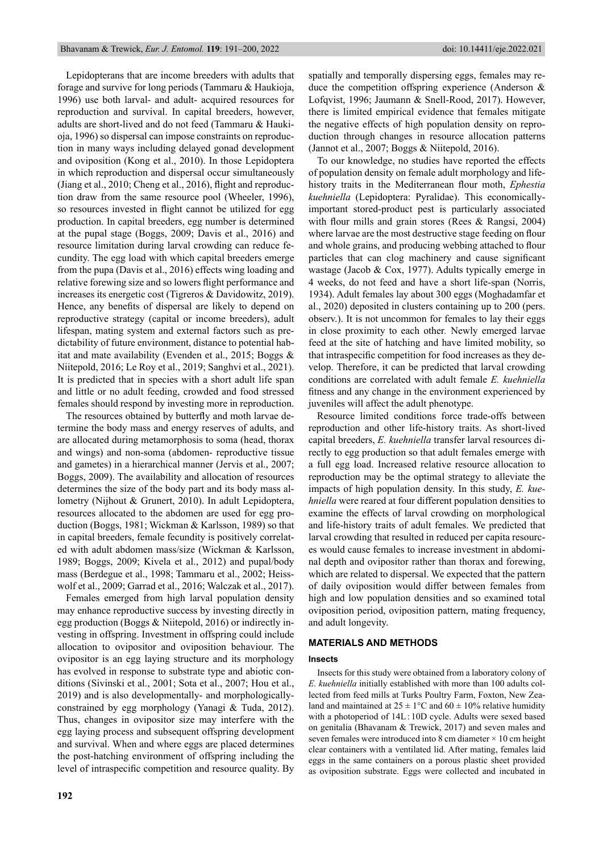Lepidopterans that are income breeders with adults that forage and survive for long periods (Tammaru & Haukioja, 1996) use both larval- and adult- acquired resources for reproduction and survival. In capital breeders, however, adults are short-lived and do not feed (Tammaru & Haukioja, 1996) so dispersal can impose constraints on reproduction in many ways including delayed gonad development and oviposition (Kong et al., 2010). In those Lepidoptera in which reproduction and dispersal occur simultaneously (Jiang et al.,  $2010$ ; Cheng et al.,  $2016$ ), flight and reproduction draw from the same resource pool (Wheeler, 1996), so resources invested in flight cannot be utilized for egg production. In capital breeders, egg number is determined at the pupal stage (Boggs, 2009; Davis et al., 2016) and resource limitation during larval crowding can reduce fecundity. The egg load with which capital breeders emerge from the pupa (Davis et al., 2016) effects wing loading and relative forewing size and so lowers flight performance and increases its energetic cost (Tigreros & Davidowitz, 2019). Hence, any benefits of dispersal are likely to depend on reproductive strategy (capital or income breeders), adult lifespan, mating system and external factors such as predictability of future environment, distance to potential habitat and mate availability (Evenden et al., 2015; Boggs & Niitepold, 2016; Le Roy et al., 2019; Sanghvi et al., 2021). It is predicted that in species with a short adult life span and little or no adult feeding, crowded and food stressed females should respond by investing more in reproduction.

The resources obtained by butterfly and moth larvae determine the body mass and energy reserves of adults, and are allocated during metamorphosis to soma (head, thorax and wings) and non-soma (abdomen- reproductive tissue and gametes) in a hierarchical manner (Jervis et al., 2007; Boggs, 2009). The availability and allocation of resources determines the size of the body part and its body mass allometry (Nijhout & Grunert, 2010). In adult Lepidoptera, resources allocated to the abdomen are used for egg production (Boggs, 1981; Wickman & Karlsson, 1989) so that in capital breeders, female fecundity is positively correlated with adult abdomen mass/size (Wickman & Karlsson, 1989; Boggs, 2009; Kivela et al., 2012) and pupal/body mass (Berdegue et al., 1998; Tammaru et al., 2002; Heisswolf et al., 2009; Garrad et al., 2016; Walczak et al., 2017).

Females emerged from high larval population density may enhance reproductive success by investing directly in egg production (Boggs & Niitepold, 2016) or indirectly investing in offspring. Investment in offspring could include allocation to ovipositor and oviposition behaviour. The ovipositor is an egg laying structure and its morphology has evolved in response to substrate type and abiotic conditions (Sivinski et al., 2001; Sota et al., 2007; Hou et al., 2019) and is also developmentally- and morphologicallyconstrained by egg morphology (Yanagi & Tuda, 2012). Thus, changes in ovipositor size may interfere with the egg laying process and subsequent offspring development and survival. When and where eggs are placed determines the post-hatching environment of offspring including the level of intraspecific competition and resource quality. By spatially and temporally dispersing eggs, females may reduce the competition offspring experience (Anderson & Lofqvist, 1996; Jaumann & Snell-Rood, 2017). However, there is limited empirical evidence that females mitigate the negative effects of high population density on reproduction through changes in resource allocation patterns (Jannot et al., 2007; Boggs & Niitepold, 2016).

To our knowledge, no studies have reported the effects of population density on female adult morphology and lifehistory traits in the Mediterranean flour moth, *Ephestia kuehniella* (Lepidoptera: Pyralidae). This economicallyimportant stored-product pest is particularly associated with flour mills and grain stores (Rees  $&$  Rangsi, 2004) where larvae are the most destructive stage feeding on flour and whole grains, and producing webbing attached to flour particles that can clog machinery and cause significant wastage (Jacob & Cox, 1977). Adults typically emerge in 4 weeks, do not feed and have a short life-span (Norris, 1934). Adult females lay about 300 eggs (Moghadamfar et al., 2020) deposited in clusters containing up to 200 (pers. observ.). It is not uncommon for females to lay their eggs in close proximity to each other*.* Newly emerged larvae feed at the site of hatching and have limited mobility, so that intraspecific competition for food increases as they develop. Therefore, it can be predicted that larval crowding conditions are correlated with adult female *E. kuehniella* fitness and any change in the environment experienced by juveniles will affect the adult phenotype.

Resource limited conditions force trade-offs between reproduction and other life-history traits. As short-lived capital breeders, *E. kuehniella* transfer larval resources directly to egg production so that adult females emerge with a full egg load. Increased relative resource allocation to reproduction may be the optimal strategy to alleviate the impacts of high population density. In this study, *E. kuehniella* were reared at four different population densities to examine the effects of larval crowding on morphological and life-history traits of adult females. We predicted that larval crowding that resulted in reduced per capita resources would cause females to increase investment in abdominal depth and ovipositor rather than thorax and forewing, which are related to dispersal. We expected that the pattern of daily oviposition would differ between females from high and low population densities and so examined total oviposition period, oviposition pattern, mating frequency, and adult longevity.

# **MATERIALS AND METHODS**

#### **Insects**

Insects for this study were obtained from a laboratory colony of *E. kuehniella* initially established with more than 100 adults collected from feed mills at Turks Poultry Farm, Foxton, New Zealand and maintained at  $25 \pm 1$ °C and  $60 \pm 10$ % relative humidity with a photoperiod of  $14L: 10D$  cycle. Adults were sexed based on genitalia (Bhavanam & Trewick, 2017) and seven males and seven females were introduced into 8 cm diameter  $\times$  10 cm height clear containers with a ventilated lid. After mating, females laid eggs in the same containers on a porous plastic sheet provided as oviposition substrate. Eggs were collected and incubated in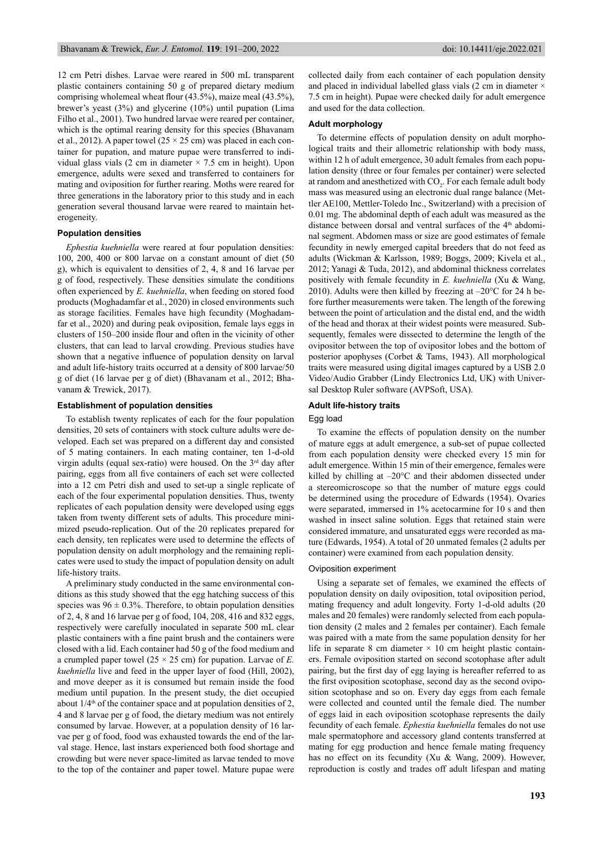12 cm Petri dishes. Larvae were reared in 500 mL transparent plastic containers containing 50 g of prepared dietary medium comprising wholemeal wheat flour  $(43.5\%)$ , maize meal  $(43.5\%)$ , brewer's yeast (3%) and glycerine (10%) until pupation (Lima Filho et al., 2001). Two hundred larvae were reared per container, which is the optimal rearing density for this species (Bhavanam et al., 2012). A paper towel ( $25 \times 25$  cm) was placed in each container for pupation, and mature pupae were transferred to individual glass vials (2 cm in diameter  $\times$  7.5 cm in height). Upon emergence, adults were sexed and transferred to containers for mating and oviposition for further rearing. Moths were reared for three generations in the laboratory prior to this study and in each generation several thousand larvae were reared to maintain heterogeneity.

#### **Population densities**

*Ephestia kuehniella* were reared at four population densities: 100, 200, 400 or 800 larvae on a constant amount of diet (50 g), which is equivalent to densities of 2, 4, 8 and 16 larvae per g of food, respectively. These densities simulate the conditions often experienced by *E. kuehniella*, when feeding on stored food products (Moghadamfar et al., 2020) in closed environments such as storage facilities. Females have high fecundity (Moghadamfar et al., 2020) and during peak oviposition, female lays eggs in clusters of 150–200 inside flour and often in the vicinity of other clusters, that can lead to larval crowding. Previous studies have shown that a negative influence of population density on larval and adult life-history traits occurred at a density of 800 larvae/50 g of diet (16 larvae per g of diet) (Bhavanam et al., 2012; Bhavanam & Trewick, 2017).

#### **Establishment of population densities**

To establish twenty replicates of each for the four population densities, 20 sets of containers with stock culture adults were developed. Each set was prepared on a different day and consisted of 5 mating containers. In each mating container, ten 1-d-old virgin adults (equal sex-ratio) were housed. On the 3rd day after pairing, eggs from all five containers of each set were collected into a 12 cm Petri dish and used to set-up a single replicate of each of the four experimental population densities. Thus, twenty replicates of each population density were developed using eggs taken from twenty different sets of adults. This procedure minimized pseudo-replication. Out of the 20 replicates prepared for each density, ten replicates were used to determine the effects of population density on adult morphology and the remaining replicates were used to study the impact of population density on adult life-history traits.

A preliminary study conducted in the same environmental conditions as this study showed that the egg hatching success of this species was  $96 \pm 0.3\%$ . Therefore, to obtain population densities of 2, 4, 8 and 16 larvae per g of food, 104, 208, 416 and 832 eggs, respectively were carefully inoculated in separate 500 mL clear plastic containers with a fine paint brush and the containers were closed with a lid. Each container had 50 g of the food medium and a crumpled paper towel ( $25 \times 25$  cm) for pupation. Larvae of *E*. *kuehniella* live and feed in the upper layer of food (Hill, 2002), and move deeper as it is consumed but remain inside the food medium until pupation. In the present study, the diet occupied about  $1/4<sup>th</sup>$  of the container space and at population densities of 2, 4 and 8 larvae per g of food, the dietary medium was not entirely consumed by larvae. However, at a population density of 16 larvae per g of food, food was exhausted towards the end of the larval stage. Hence, last instars experienced both food shortage and crowding but were never space-limited as larvae tended to move to the top of the container and paper towel. Mature pupae were collected daily from each container of each population density and placed in individual labelled glass vials (2 cm in diameter  $\times$ 7.5 cm in height). Pupae were checked daily for adult emergence and used for the data collection.

#### **Adult morphology**

To determine effects of population density on adult morphological traits and their allometric relationship with body mass, within 12 h of adult emergence, 30 adult females from each population density (three or four females per container) were selected at random and anesthetized with  $CO<sub>2</sub>$ . For each female adult body mass was measured using an electronic dual range balance (Mettler AE100, Mettler-Toledo Inc., Switzerland) with a precision of 0.01 mg. The abdominal depth of each adult was measured as the distance between dorsal and ventral surfaces of the 4<sup>th</sup> abdominal segment. Abdomen mass or size are good estimates of female fecundity in newly emerged capital breeders that do not feed as adults (Wickman & Karlsson, 1989; Boggs, 2009; Kivela et al., 2012; Yanagi & Tuda, 2012), and abdominal thickness correlates positively with female fecundity in *E. kuehniella* (Xu & Wang, 2010). Adults were then killed by freezing at  $-20^{\circ}$ C for 24 h before further measurements were taken. The length of the forewing between the point of articulation and the distal end, and the width of the head and thorax at their widest points were measured. Subsequently, females were dissected to determine the length of the ovipositor between the top of ovipositor lobes and the bottom of posterior apophyses (Corbet & Tams, 1943). All morphological traits were measured using digital images captured by a USB 2.0 Video/Audio Grabber (Lindy Electronics Ltd, UK) with Universal Desktop Ruler software (AVPSoft, USA).

#### **Adult life-history traits**

#### Egg load

To examine the effects of population density on the number of mature eggs at adult emergence, a sub-set of pupae collected from each population density were checked every 15 min for adult emergence. Within 15 min of their emergence, females were killed by chilling at  $-20^{\circ}$ C and their abdomen dissected under a stereomicroscope so that the number of mature eggs could be determined using the procedure of Edwards (1954). Ovaries were separated, immersed in 1% acetocarmine for 10 s and then washed in insect saline solution. Eggs that retained stain were considered immature, and unsaturated eggs were recorded as mature (Edwards, 1954). A total of 20 unmated females (2 adults per container) were examined from each population density.

#### Oviposition experiment

Using a separate set of females, we examined the effects of population density on daily oviposition, total oviposition period, mating frequency and adult longevity. Forty 1-d-old adults (20 males and 20 females) were randomly selected from each population density (2 males and 2 females per container). Each female was paired with a mate from the same population density for her life in separate 8 cm diameter  $\times$  10 cm height plastic containers. Female oviposition started on second scotophase after adult pairing, but the first day of egg laying is hereafter referred to as the first oviposition scotophase, second day as the second oviposition scotophase and so on. Every day eggs from each female were collected and counted until the female died. The number of eggs laid in each oviposition scotophase represents the daily fecundity of each female. *Ephestia kuehniella* females do not use male spermatophore and accessory gland contents transferred at mating for egg production and hence female mating frequency has no effect on its fecundity (Xu & Wang, 2009). However, reproduction is costly and trades off adult lifespan and mating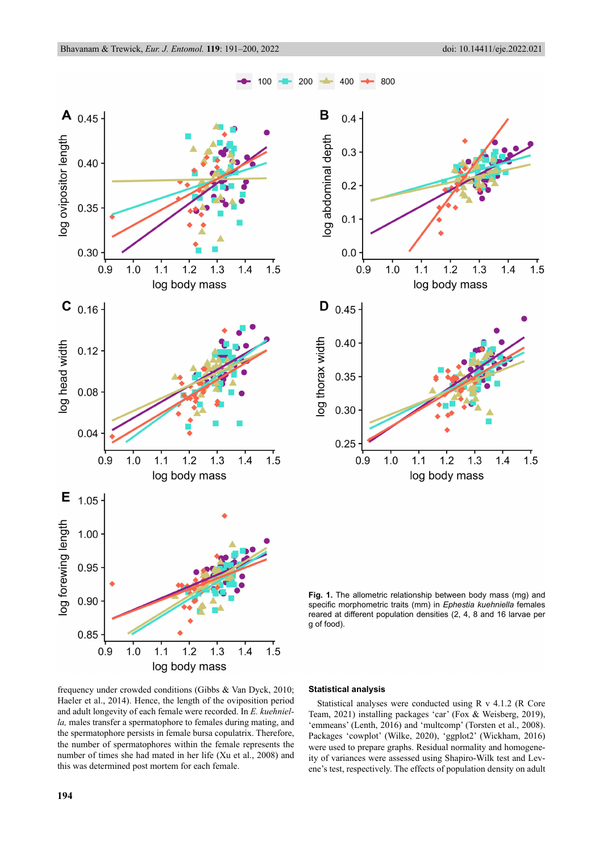$1.5$ 

 $1.5$ 



frequency under crowded conditions (Gibbs & Van Dyck, 2010; Haeler et al., 2014). Hence, the length of the oviposition period and adult longevity of each female were recorded. In *E. kuehniella,* males transfer a spermatophore to females during mating, and the spermatophore persists in female bursa copulatrix. Therefore, the number of spermatophores within the female represents the number of times she had mated in her life (Xu et al., 2008) and this was determined post mortem for each female.

# **Statistical analysis**

Statistical analyses were conducted using R v 4.1.2 (R Core Team, 2021) installing packages 'car' (Fox & Weisberg, 2019), 'emmeans' (Lenth, 2016) and 'multcomp' (Torsten et al., 2008). Packages 'cowplot' (Wilke, 2020), 'ggplot2' (Wickham, 2016) were used to prepare graphs. Residual normality and homogeneity of variances were assessed using Shapiro-Wilk test and Levene's test, respectively. The effects of population density on adult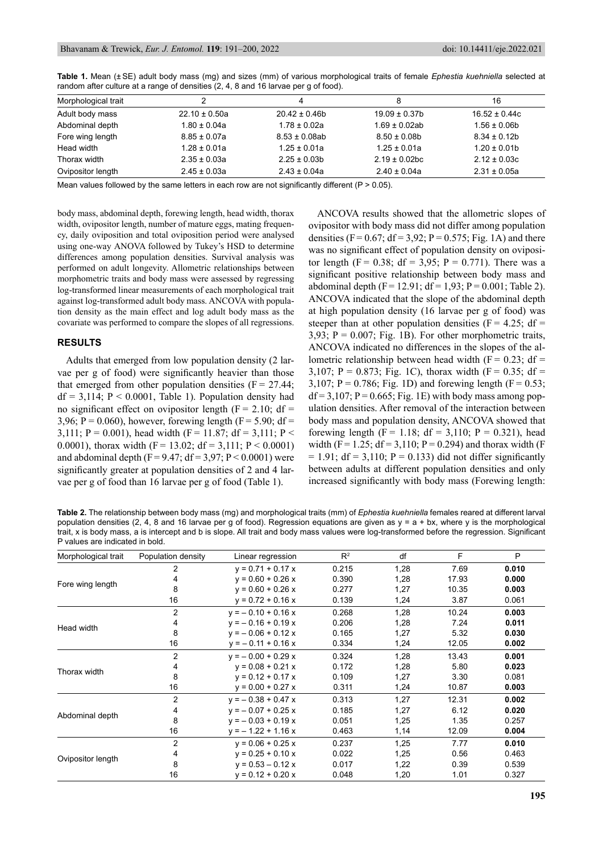| Morphological trait |                   |                    | 8                  | 16                |
|---------------------|-------------------|--------------------|--------------------|-------------------|
| Adult body mass     | $22.10 \pm 0.50a$ | $20.42 \pm 0.46$   | $19.09 \pm 0.37$ b | $16.52 \pm 0.44c$ |
| Abdominal depth     | $1.80 \pm 0.04a$  | $1.78 \pm 0.02a$   | $1.69 \pm 0.02$ ab | $1.56 \pm 0.06$ b |
| Fore wing length    | $8.85 \pm 0.07a$  | $8.53 \pm 0.08$ ab | $8.50 \pm 0.08$    | $8.34 \pm 0.12b$  |
| Head width          | $1.28 \pm 0.01a$  | $1.25 \pm 0.01a$   | $1.25 \pm 0.01a$   | $1.20 \pm 0.01$   |
| Thorax width        | $2.35 \pm 0.03a$  | $2.25 \pm 0.03$ b  | $2.19 \pm 0.02$ bc | $2.12 \pm 0.03c$  |
| Ovipositor length   | $2.45 \pm 0.03a$  | $2.43 \pm 0.04a$   | $2.40 \pm 0.04a$   | $2.31 \pm 0.05a$  |
|                     |                   |                    |                    |                   |

**Table 1.** Mean (± SE) adult body mass (mg) and sizes (mm) of various morphological traits of female *Ephestia kuehniella* selected at random after culture at a range of densities (2, 4, 8 and 16 larvae per g of food).

Mean values followed by the same letters in each row are not significantly different (P  $> 0.05$ ).

body mass, abdominal depth, forewing length, head width, thorax width, ovipositor length, number of mature eggs, mating frequency, daily oviposition and total oviposition period were analysed using one-way ANOVA followed by Tukey's HSD to determine differences among population densities. Survival analysis was performed on adult longevity. Allometric relationships between morphometric traits and body mass were assessed by regressing log-transformed linear measurements of each morphological trait against log-transformed adult body mass. ANCOVA with population density as the main effect and log adult body mass as the covariate was performed to compare the slopes of all regressions.

# **RESULTS**

Adults that emerged from low population density (2 larvae per g of food) were significantly heavier than those that emerged from other population densities  $(F = 27.44)$ ;  $df = 3,114$ ;  $P < 0.0001$ , Table 1). Population density had no significant effect on ovipositor length ( $F = 2.10$ ; df = 3,96; P = 0.060), however, forewing length ( $F = 5.90$ ; df = 3,111; P = 0.001), head width (F = 11.87; df = 3,111; P < 0.0001), thorax width  $(F = 13.02; df = 3,111; P < 0.0001)$ and abdominal depth  $(F = 9.47; df = 3.97; P < 0.0001)$  were significantly greater at population densities of 2 and 4 larvae per g of food than 16 larvae per g of food (Table 1).

ANCOVA results showed that the allometric slopes of ovipositor with body mass did not differ among population densities (F =  $0.67$ ; df =  $3.92$ ; P =  $0.575$ ; Fig. 1A) and there was no significant effect of population density on ovipositor length (F = 0.38; df = 3,95; P = 0.771). There was a significant positive relationship between body mass and abdominal depth  $(F = 12.91; df = 1.93; P = 0.001; Table 2)$ . ANCOVA indicated that the slope of the abdominal depth at high population density (16 larvae per g of food) was steeper than at other population densities ( $F = 4.25$ ; df = 3,93;  $P = 0.007$ ; Fig. 1B). For other morphometric traits, ANCOVA indicated no differences in the slopes of the allometric relationship between head width ( $F = 0.23$ ; df = 3,107; P = 0.873; Fig. 1C), thorax width ( $F = 0.35$ ; df = 3,107;  $P = 0.786$ ; Fig. 1D) and forewing length (F = 0.53;  $df = 3,107$ ;  $P = 0.665$ ; Fig. 1E) with body mass among population densities. After removal of the interaction between body mass and population density, ANCOVA showed that forewing length (F = 1.18; df = 3,110; P = 0.321), head width (F = 1.25; df = 3,110; P = 0.294) and thorax width (F  $= 1.91$ ; df  $= 3.110$ ; P  $= 0.133$ ) did not differ significantly between adults at different population densities and only increased significantly with body mass (Forewing length:

**Table 2.** The relationship between body mass (mg) and morphological traits (mm) of *Ephestia kuehniella* females reared at different larval population densities (2, 4, 8 and 16 larvae per g of food). Regression equations are given as  $y = a + bx$ , where y is the morphological trait, x is body mass, a is intercept and b is slope. All trait and body mass values were log-transformed before the regression. Significant P values are indicated in bold.

| Morphological trait | Population density | Linear regression    | $R^2$ | df   | F     | P     |
|---------------------|--------------------|----------------------|-------|------|-------|-------|
| Fore wing length    | 2                  | $y = 0.71 + 0.17x$   | 0.215 | 1,28 | 7.69  | 0.010 |
|                     | 4                  | $y = 0.60 + 0.26 x$  | 0.390 | 1,28 | 17.93 | 0.000 |
|                     | 8                  | $y = 0.60 + 0.26 x$  | 0.277 | 1,27 | 10.35 | 0.003 |
|                     | 16                 | $y = 0.72 + 0.16 x$  | 0.139 | 1,24 | 3.87  | 0.061 |
| Head width          | 2                  | $y = -0.10 + 0.16 x$ | 0.268 | 1,28 | 10.24 | 0.003 |
|                     | 4                  | $y = -0.16 + 0.19x$  | 0.206 | 1,28 | 7.24  | 0.011 |
|                     | 8                  | $y = -0.06 + 0.12 x$ | 0.165 | 1,27 | 5.32  | 0.030 |
|                     | 16                 | $y = -0.11 + 0.16 x$ | 0.334 | 1,24 | 12.05 | 0.002 |
| Thorax width        | 2                  | $y = -0.00 + 0.29 x$ | 0.324 | 1,28 | 13.43 | 0.001 |
|                     | 4                  | $y = 0.08 + 0.21 x$  | 0.172 | 1,28 | 5.80  | 0.023 |
|                     | 8                  | $y = 0.12 + 0.17 x$  | 0.109 | 1,27 | 3.30  | 0.081 |
|                     | 16                 | $y = 0.00 + 0.27 x$  | 0.311 | 1,24 | 10.87 | 0.003 |
| Abdominal depth     | 2                  | $v = -0.38 + 0.47 x$ | 0.313 | 1,27 | 12.31 | 0.002 |
|                     | 4                  | $y = -0.07 + 0.25 x$ | 0.185 | 1,27 | 6.12  | 0.020 |
|                     | 8                  | $y = -0.03 + 0.19x$  | 0.051 | 1,25 | 1.35  | 0.257 |
|                     | 16                 | $y = -1.22 + 1.16x$  | 0.463 | 1,14 | 12.09 | 0.004 |
| Ovipositor length   | 2                  | $y = 0.06 + 0.25 x$  | 0.237 | 1,25 | 7.77  | 0.010 |
|                     | 4                  | $y = 0.25 + 0.10 x$  | 0.022 | 1,25 | 0.56  | 0.463 |
|                     | 8                  | $y = 0.53 - 0.12 x$  | 0.017 | 1,22 | 0.39  | 0.539 |
|                     | 16                 | $y = 0.12 + 0.20 x$  | 0.048 | 1,20 | 1.01  | 0.327 |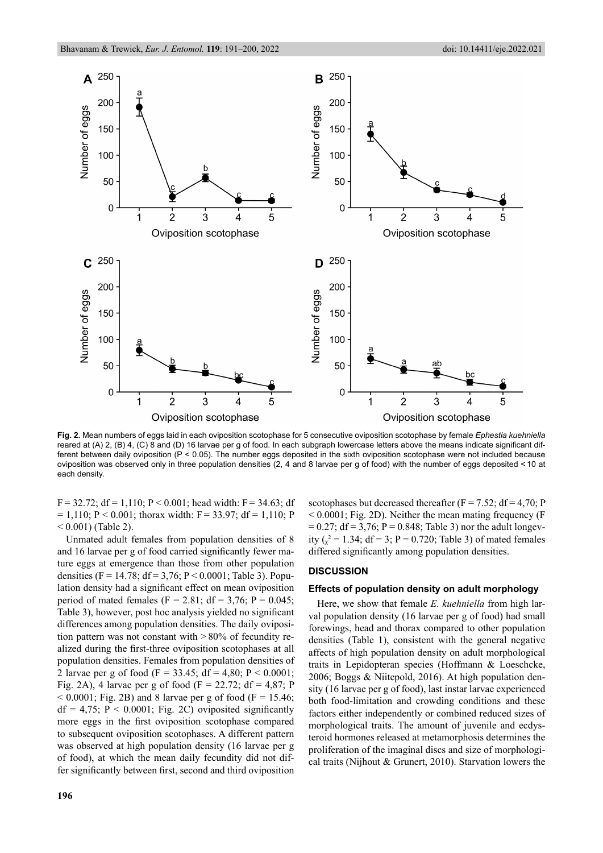

**Fig. 2.** Mean numbers of eggs laid in each oviposition scotophase for 5 consecutive oviposition scotophase by female *Ephestia kuehniella*  reared at (A) 2, (B) 4, (C) 8 and (D) 16 larvae per g of food. In each subgraph lowercase letters above the means indicate significant different between daily oviposition (P < 0.05). The number eggs deposited in the sixth oviposition scotophase were not included because oviposition was observed only in three population densities (2, 4 and 8 larvae per g of food) with the number of eggs deposited < 10 at each density.

 $F = 32.72$ ; df = 1,110; P < 0.001; head width: F = 34.63; df  $= 1,110; P < 0.001;$  thorax width: F = 33.97; df = 1,110; P  $< 0.001$ ) (Table 2).

Unmated adult females from population densities of 8 and 16 larvae per  $g$  of food carried significantly fewer mature eggs at emergence than those from other population densities (F = 14.78; df = 3,76; P < 0.0001; Table 3). Population density had a significant effect on mean oviposition period of mated females ( $F = 2.81$ ; df = 3.76; P = 0.045; Table 3), however, post hoc analysis yielded no significant differences among population densities. The daily oviposition pattern was not constant with > 80% of fecundity realized during the first-three oviposition scotophases at all population densities. Females from population densities of 2 larvae per g of food (F = 33.45; df = 4.80; P < 0.0001; Fig. 2A), 4 larvae per g of food (F = 22.72; df = 4,87; P  $< 0.0001$ ; Fig. 2B) and 8 larvae per g of food (F = 15.46;  $df = 4.75$ ;  $P < 0.0001$ ; Fig. 2C) oviposited significantly more eggs in the first oviposition scotophase compared to subsequent oviposition scotophases. A different pattern was observed at high population density (16 larvae per g of food), at which the mean daily fecundity did not differ significantly between first, second and third oviposition scotophases but decreased thereafter ( $F = 7.52$ ; df = 4,70; P  $< 0.0001$ ; Fig. 2D). Neither the mean mating frequency (F  $= 0.27$ ; df  $= 3.76$ ; P  $= 0.848$ ; Table 3) nor the adult longevity  $\left(\frac{1}{x^2} = 1.34\right)$ ; df = 3; P = 0.720; Table 3) of mated females differed significantly among population densities.

# **DISCUSSION**

### **Effects of population density on adult morphology**

Here, we show that female *E. kuehniella* from high larval population density (16 larvae per g of food) had small forewings, head and thorax compared to other population densities (Table 1), consistent with the general negative affects of high population density on adult morphological traits in Lepidopteran species (Hoffmann & Loeschcke, 2006; Boggs & Niitepold, 2016). At high population density (16 larvae per g of food), last instar larvae experienced both food-limitation and crowding conditions and these factors either independently or combined reduced sizes of morphological traits. The amount of juvenile and ecdysteroid hormones released at metamorphosis determines the proliferation of the imaginal discs and size of morphological traits (Nijhout & Grunert, 2010). Starvation lowers the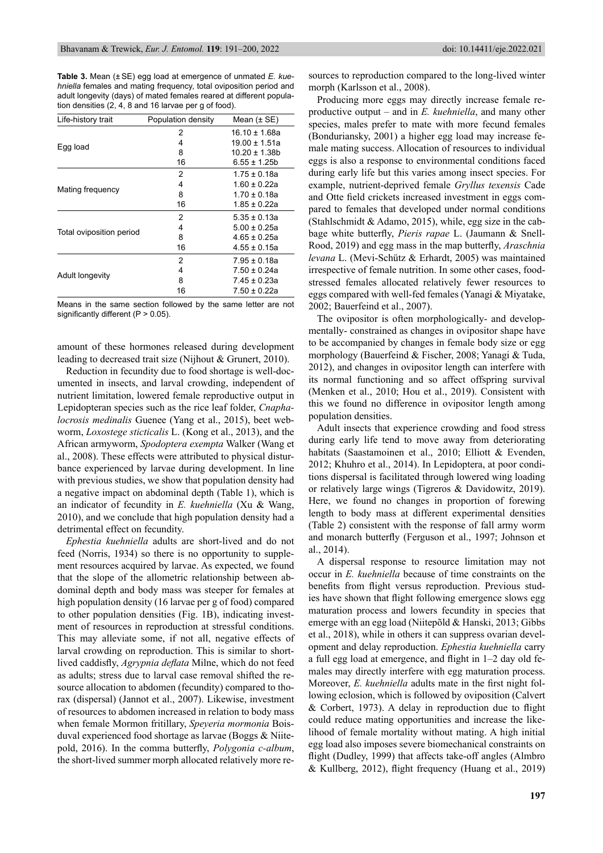**Table 3.** Mean (± SE) egg load at emergence of unmated *E. kuehniella* females and mating frequency, total oviposition period and adult longevity (days) of mated females reared at different population densities (2, 4, 8 and 16 larvae per g of food).

| Life-history trait       | Population density | Mean $(\pm SE)$   |  |  |
|--------------------------|--------------------|-------------------|--|--|
|                          | 2                  | $16.10 \pm 1.68a$ |  |  |
| Egg load                 | 4                  | 19.00 ± 1.51a     |  |  |
|                          | 8                  | 10.20 ± 1.38b     |  |  |
|                          | 16                 | $6.55 \pm 1.25b$  |  |  |
|                          | 2                  | $1.75 \pm 0.18a$  |  |  |
|                          | 4                  | $1.60 \pm 0.22a$  |  |  |
| Mating frequency         | 8                  | $1.70 \pm 0.18a$  |  |  |
|                          | 16                 | $1.85 \pm 0.22a$  |  |  |
|                          | 2                  | $5.35 \pm 0.13a$  |  |  |
|                          | 4                  | $5.00 \pm 0.25a$  |  |  |
| Total oviposition period | 8                  | $4.65 \pm 0.25a$  |  |  |
|                          | 16                 | $4.55 \pm 0.15a$  |  |  |
|                          | 2                  | $7.95 \pm 0.18a$  |  |  |
|                          | 4                  | $7.50 \pm 0.24a$  |  |  |
| Adult longevity          | 8                  | 7 45 + 0 23a      |  |  |
|                          | 16                 | $7.50 \pm 0.22a$  |  |  |

Means in the same section followed by the same letter are not significantly different ( $P > 0.05$ ).

amount of these hormones released during development leading to decreased trait size (Nijhout & Grunert, 2010).

Reduction in fecundity due to food shortage is well-documented in insects, and larval crowding, independent of nutrient limitation, lowered female reproductive output in Lepidopteran species such as the rice leaf folder, *Cnaphalocrosis medinalis* Guenee (Yang et al., 2015), beet webworm, *Loxostege sticticalis* L. (Kong et al., 2013), and the African armyworm, *Spodoptera exempta* Walker (Wang et al., 2008). These effects were attributed to physical disturbance experienced by larvae during development. In line with previous studies, we show that population density had a negative impact on abdominal depth (Table 1), which is an indicator of fecundity in *E. kuehniella* (Xu & Wang, 2010), and we conclude that high population density had a detrimental effect on fecundity.

*Ephestia kuehniella* adults are short-lived and do not feed (Norris, 1934) so there is no opportunity to supplement resources acquired by larvae. As expected, we found that the slope of the allometric relationship between abdominal depth and body mass was steeper for females at high population density (16 larvae per g of food) compared to other population densities (Fig. 1B), indicating investment of resources in reproduction at stressful conditions. This may alleviate some, if not all, negative effects of larval crowding on reproduction. This is similar to shortlived caddisfly, *Agrypnia deflata* Milne, which do not feed as adults; stress due to larval case removal shifted the resource allocation to abdomen (fecundity) compared to thorax (dispersal) (Jannot et al., 2007). Likewise, investment of resources to abdomen increased in relation to body mass when female Mormon fritillary, *Speyeria mormonia* Boisduval experienced food shortage as larvae (Boggs & Niitepold, 2016). In the comma butterfly, *Polygonia c-album*, the short-lived summer morph allocated relatively more resources to reproduction compared to the long-lived winter morph (Karlsson et al., 2008).

Producing more eggs may directly increase female reproductive output – and in *E. kuehniella*, and many other species, males prefer to mate with more fecund females (Bonduriansky, 2001) a higher egg load may increase female mating success. Allocation of resources to individual eggs is also a response to environmental conditions faced during early life but this varies among insect species. For example, nutrient-deprived female *Gryllus texensis* Cade and Otte field crickets increased investment in eggs compared to females that developed under normal conditions (Stahlschmidt & Adamo, 2015), while, egg size in the cabbage white butterfly, *Pieris rapae* L. (Jaumann & Snell-Rood, 2019) and egg mass in the map butterfly, *Araschnia levana* L. (Mevi-Schütz & Erhardt, 2005) was maintained irrespective of female nutrition. In some other cases, foodstressed females allocated relatively fewer resources to eggs compared with well-fed females (Yanagi & Miyatake, 2002; Bauerfeind et al., 2007).

The ovipositor is often morphologically- and developmentally- constrained as changes in ovipositor shape have to be accompanied by changes in female body size or egg morphology (Bauerfeind & Fischer, 2008; Yanagi & Tuda, 2012), and changes in ovipositor length can interfere with its normal functioning and so affect offspring survival (Menken et al., 2010; Hou et al., 2019). Consistent with this we found no difference in ovipositor length among population densities.

Adult insects that experience crowding and food stress during early life tend to move away from deteriorating habitats (Saastamoinen et al., 2010; Elliott & Evenden, 2012; Khuhro et al., 2014). In Lepidoptera, at poor conditions dispersal is facilitated through lowered wing loading or relatively large wings (Tigreros & Davidowitz, 2019). Here, we found no changes in proportion of forewing length to body mass at different experimental densities (Table 2) consistent with the response of fall army worm and monarch butterfly (Ferguson et al., 1997; Johnson et al., 2014).

A dispersal response to resource limitation may not occur in *E. kuehniella* because of time constraints on the benefits from flight versus reproduction. Previous studies have shown that flight following emergence slows egg maturation process and lowers fecundity in species that emerge with an egg load (Niitepõld & Hanski, 2013; Gibbs et al., 2018), while in others it can suppress ovarian development and delay reproduction. *Ephestia kuehniella* carry a full egg load at emergence, and flight in  $1-2$  day old females may directly interfere with egg maturation process. Moreover, *E. kuehniella* adults mate in the first night following eclosion, which is followed by oviposition (Calvert  $&$  Corbert, 1973). A delay in reproduction due to flight could reduce mating opportunities and increase the likelihood of female mortality without mating. A high initial egg load also imposes severe biomechanical constraints on flight (Dudley, 1999) that affects take-off angles (Almbro & Kullberg, 2012), flight frequency (Huang et al., 2019)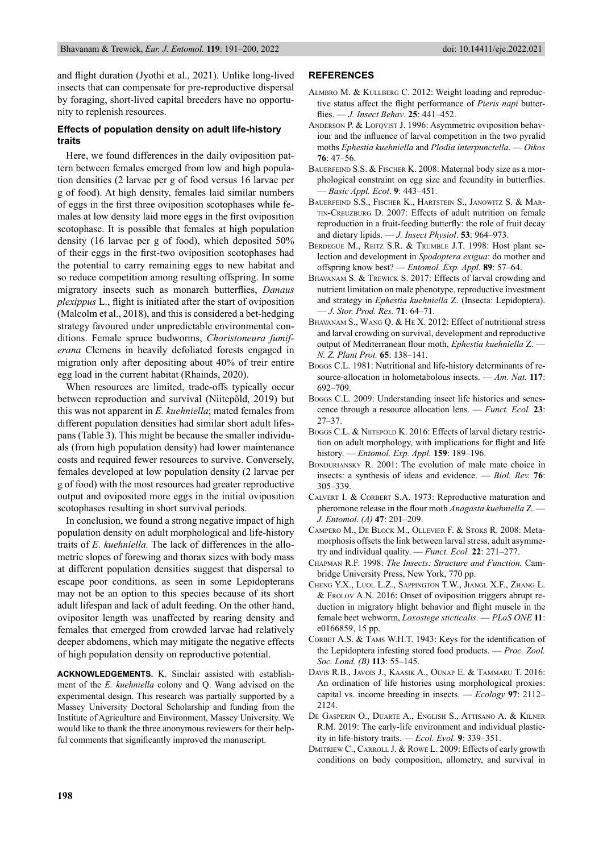and flight duration (Jyothi et al., 2021). Unlike long-lived insects that can compensate for pre-reproductive dispersal by foraging, short-lived capital breeders have no opportunity to replenish resources.

# **Effects of population density on adult life-history traits**

Here, we found differences in the daily oviposition pattern between females emerged from low and high population densities (2 larvae per g of food versus 16 larvae per g of food). At high density, females laid similar numbers of eggs in the first three oviposition scotophases while females at low density laid more eggs in the first oviposition scotophase. It is possible that females at high population density (16 larvae per g of food), which deposited 50% of their eggs in the first-two oviposition scotophases had the potential to carry remaining eggs to new habitat and so reduce competition among resulting offspring. In some migratory insects such as monarch butterflies, *Danaus plexippus* L., flight is initiated after the start of oviposition (Malcolm et al., 2018), and this is considered a bet-hedging strategy favoured under unpredictable environmental conditions. Female spruce budworms, *Choristoneura fumiferana* Clemens in heavily defoliated forests engaged in migration only after depositing about 40% of treir entire egg load in the current habitat (Rhainds, 2020).

When resources are limited, trade-offs typically occur between reproduction and survival (Niitepõld, 2019) but this was not apparent in *E. kuehniella*; mated females from different population densities had similar short adult lifespans (Table 3). This might be because the smaller individuals (from high population density) had lower maintenance costs and required fewer resources to survive. Conversely, females developed at low population density (2 larvae per g of food) with the most resources had greater reproductive output and oviposited more eggs in the initial oviposition scotophases resulting in short survival periods.

In conclusion, we found a strong negative impact of high population density on adult morphological and life-history traits of *E. kuehniella.* The lack of differences in the allometric slopes of forewing and thorax sizes with body mass at different population densities suggest that dispersal to escape poor conditions, as seen in some Lepidopterans may not be an option to this species because of its short adult lifespan and lack of adult feeding. On the other hand, ovipositor length was unaffected by rearing density and females that emerged from crowded larvae had relatively deeper abdomens, which may mitigate the negative effects of high population density on reproductive potential.

**ACKNOWLEDGEMENTS.** K. Sinclair assisted with establishment of the *E. kuehniella* colony and Q. Wang advised on the experimental design. This research was partially supported by a Massey University Doctoral Scholarship and funding from the Institute of Agriculture and Environment, Massey University. We would like to thank the three anonymous reviewers for their helpful comments that significantly improved the manuscript.

# **REFERENCES**

- ALMBRO M. & KULLBERG C. 2012: Weight loading and reproductive status affect the flight performance of *Pieris napi* butterfl ies. — *J. Insect Behav*. **25**: 441–452.
- ANDERSON P. & LOFQVIST J. 1996: Asymmetric oviposition behaviour and the influence of larval competition in the two pyralid moths *Ephestia kuehniella* and *Plodia interpunctella*. — *Oikos*  **76**: 47–56.
- BAUERFEIND S.S. & FISCHER K. 2008: Maternal body size as a morphological constraint on egg size and fecundity in butterflies. — *Basic Appl. Ecol*. **9**: 443–451.
- BAUERFEIND S.S., FISCHER K., HARTSTEIN S., JANOWITZ S. & MAR-TIN-CREUZBURG D. 2007: Effects of adult nutrition on female reproduction in a fruit-feeding butterfly: the role of fruit decay and dietary lipids. — *J. Insect Physiol*. **53**: 964–973.
- BERDEGUE M., REITZ S.R. & TRUMBLE J.T. 1998: Host plant selection and development in *Spodoptera exigua*: do mother and offspring know best? — *Entomol. Exp. Appl.* **89**: 57–64.
- BHAVANAM S. & TREWICK S. 2017: Effects of larval crowding and nutrient limitation on male phenotype, reproductive investment and strategy in *Ephestia kuehniella* Z. (Insecta: Lepidoptera). — *J. Stor. Prod. Res.* **71**: 64–71.
- BHAVANAM S., WANG Q. & HE X. 2012: Effect of nutritional stress and larval crowding on survival, development and reproductive output of Mediterranean flour moth, *Ephestia kuehniella* Z. -*N. Z. Plant Prot.* **65**: 138–141.
- Boggs C.L. 1981: Nutritional and life-history determinants of resource-allocation in holometabolous insects. — *Am. Nat.* **117**: 692–709.
- Boggs C.L. 2009: Understanding insect life histories and senescence through a resource allocation lens. — *Funct. Ecol.* **23**: 27–37.
- BOGGS C.L. & NIITEPOLD K. 2016: Effects of larval dietary restriction on adult morphology, with implications for flight and life history. — *Entomol. Exp. Appl.* **159**: 189–196.
- BONDURIANSKY R. 2001: The evolution of male mate choice in insects: a synthesis of ideas and evidence. — *Biol. Rev.* **76**: 305–339.
- CALVERT I. & CORBERT S.A. 1973: Reproductive maturation and pheromone release in the flour moth *Anagasta kuehniella* Z. -*J. Entomol. (A)* **47**: 201–209.
- CAMPERO M., DE BLOCK M., OLLEVIER F. & STOKS R. 2008: Metamorphosis offsets the link between larval stress, adult asymmetry and individual quality. — *Funct. Ecol.* **22**: 271–277.
- CHAPMAN R.F. 1998: *The Insects: Structure and Function.* Cambridge University Press, New York, 770 pp.
- CHENG Y.X., LUOL L.Z., SAPPINGTON T.W., JIANGL X.F., ZHANG L. & FROLOV A.N. 2016: Onset of oviposition triggers abrupt reduction in migratory hlight behavior and flight muscle in the female beet webworm, *Loxostege sticticalis*. — *PLoS ONE* **11**: e0166859, 15 pp.
- CORBET A.S. & TAMS W.H.T. 1943: Keys for the identification of the Lepidoptera infesting stored food products. — *Proc. Zool. Soc. Lond. (B)* **113**: 55–145.
- DAVIS R.B., JAVOIS J., KAASIK A., OUNAP E. & TAMMARU T. 2016: An ordination of life histories using morphological proxies: capital vs. income breeding in insects. — *Ecology* **97**: 2112– 2124.
- DE GASPERIN O., DUARTE A., ENGLISH S., ATTISANO A. & KILNER R.M. 2019: The early-life environment and individual plasticity in life-history traits. — *Ecol. Evol.* **9**: 339–351.
- DMITRIEW C., CARROLL J. & ROWE L. 2009: Effects of early growth conditions on body composition, allometry, and survival in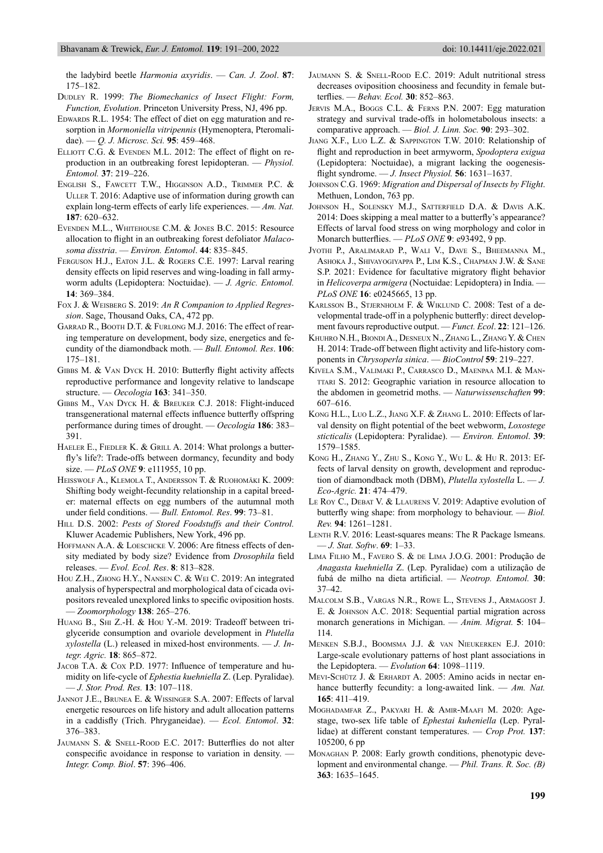the ladybird beetle *Harmonia axyridis*. — *Can. J. Zool*. **87**: 175–182.

- DUDLEY R. 1999: The Biomechanics of Insect Flight: Form, *Function, Evolution*. Princeton University Press, NJ, 496 pp.
- EDWARDS R.L. 1954: The effect of diet on egg maturation and resorption in *Mormoniella vitripennis* (Hymenoptera, Pteromalidae). — *Q. J. Microsc. Sci.* **95**: 459–468.
- ELLIOTT C.G. & EVENDEN M.L. 2012: The effect of flight on reproduction in an outbreaking forest lepidopteran. — *Physiol. Entomol.* **37**: 219–226.
- ENGLISH S., FAWCETT T.W., HIGGINSON A.D., TRIMMER P.C. & ULLER T. 2016: Adaptive use of information during growth can explain long-term effects of early life experiences. — *Am. Nat.*  **187**: 620–632.
- EVENDEN M.L., WHITEHOUSE C.M. & JONES B.C. 2015: Resource allocation to flight in an outbreaking forest defoliator *Malacosoma disstria*. — *Environ. Entomol*. **44**: 835–845.
- FERGUSON H.J., EATON J.L. & ROGERS C.E. 1997: Larval rearing density effects on lipid reserves and wing-loading in fall armyworm adults (Lepidoptera: Noctuidae). — *J. Agric. Entomol.* **14**: 369–384.
- FOX J. & WEISBERG S. 2019: *An R Companion to Applied Regression*. Sage, Thousand Oaks, CA, 472 pp.
- GARRAD R., BOOTH D.T. & FURLONG M.J. 2016: The effect of rearing temperature on development, body size, energetics and fecundity of the diamondback moth. — *Bull. Entomol. Res*. **106**: 175–181.
- GIBBS M. & VAN DYCK H. 2010: Butterfly flight activity affects reproductive performance and longevity relative to landscape structure. — *Oecologia* **163**: 341–350.
- GIBBS M., VAN DYCK H. & BREUKER C.J. 2018: Flight-induced transgenerational maternal effects influence butterfly offspring performance during times of drought. — *Oecologia* **186**: 383– 391.
- HAELER E., FIEDLER K. & GRILL A. 2014: What prolongs a butterfly's life?: Trade-offs between dormancy, fecundity and body size. — *PLoS ONE* **9**: e111955, 10 pp.
- HEISSWOLF A., KLEMOLA T., ANDERSSON T. & RUOHOMÄKI K. 2009: Shifting body weight-fecundity relationship in a capital breeder: maternal effects on egg numbers of the autumnal moth under field conditions. - *Bull. Entomol. Res.* 99: 73-81.
- HILL D.S. 2002: Pests of Stored Foodstuffs and their Control. Kluwer Academic Publishers, New York, 496 pp.
- HOFFMANN A.A. & LOESCHCKE V. 2006: Are fitness effects of density mediated by body size? Evidence from *Drosophila* field releases. — *Evol. Ecol. Res*. **8**: 813–828.
- HOU Z.H., ZHONG H.Y., NANSEN C. & WEI C. 2019: An integrated analysis of hyperspectral and morphological data of cicada ovipositors revealed unexplored links to specific oviposition hosts. — *Zoomorphology* **138**: 265–276.
- HUANG B., SHI Z.-H. & HOU Y.-M. 2019: Tradeoff between triglyceride consumption and ovariole development in *Plutella xylostella* (L.) released in mixed-host environments. — *J. Integr. Agric.* **18**: 865–872.
- JACOB T.A. & COX P.D. 1977: Influence of temperature and humidity on life-cycle of *Ephestia kuehniella* Z. (Lep. Pyralidae). — *J. Stor. Prod. Res.* **13**: 107–118.
- JANNOT J.E., BRUNEA E. & WISSINGER S.A. 2007: Effects of larval energetic resources on life history and adult allocation patterns in a caddisfly (Trich. Phryganeidae). — *Ecol. Entomol.* **32**: 376–383.
- JAUMANN S. & SNELL-ROOD E.C. 2017: Butterflies do not alter conspecific avoidance in response to variation in density. *Integr. Comp. Biol*. **57**: 396–406.
- JAUMANN S. & SNELL-ROOD E.C. 2019: Adult nutritional stress decreases oviposition choosiness and fecundity in female butterfl ies. — *Behav. Ecol.* **30**: 852–863.
- JERVIS M.A., BOGGS C.L. & FERNS P.N. 2007: Egg maturation strategy and survival trade-offs in holometabolous insects: a comparative approach. — *Biol. J. Linn. Soc.* **90**: 293–302.
- JIANG X.F., LUO L.Z. & SAPPINGTON T.W. 2010: Relationship of flight and reproduction in beet armyworm, *Spodoptera exigua* (Lepidoptera: Noctuidae), a migrant lacking the oogenesisflight syndrome. — *J. Insect Physiol*. **56**: 1631–1637.
- JOHNSON C.G. 1969: *Migration and Dispersal of Insects by Flight*. Methuen, London, 763 pp.
- JOHNSON H., SOLENSKY M.J., SATTERFIELD D.A. & DAVIS A.K. 2014: Does skipping a meal matter to a butterfly's appearance? Effects of larval food stress on wing morphology and color in Monarch butterflies. — *PLoS ONE* 9: e93492, 9 pp.
- JYOTHI P., ARALIMARAD P., WALI V., DAVE S., BHEEMANNA M., ASHOKA J., SHIVAYOGIYAPPA P., LIM K.S., CHAPMAN J.W. & SANE S.P. 2021: Evidence for facultative migratory flight behavior in *Helicoverpa armigera* (Noctuidae: Lepidoptera) in India. — *PLoS ONE* **16**: e0245665, 13 pp.
- KARLSSON B., STJERNHOLM F. & WIKLUND C. 2008: Test of a developmental trade-off in a polyphenic butterfly: direct development favours reproductive output. — *Funct. Ecol*. **22**: 121–126.
- KHUHRO N.H., BIONDI A., DESNEUX N., ZHANG L., ZHANG Y. & CHEN H. 2014: Trade-off between flight activity and life-history components in *Chrysoperla sinica*. — *BioControl* **59**: 219–227.
- KIVELA S.M., VALIMAKI P., CARRASCO D., MAENPAA M.I. & MAN-TTARI S. 2012: Geographic variation in resource allocation to the abdomen in geometrid moths. — *Naturwissenschaften* **99**: 607–616.
- KONG H.L., LUO L.Z., JIANG X.F. & ZHANG L. 2010: Effects of lar val density on flight potential of the beet webworm, *Loxostege sticticalis* (Lepidoptera: Pyralidae). — *Environ. Entomol*. **39**: 1579–1585.
- KONG H., ZHANG Y., ZHU S., KONG Y., WU L. & HU R. 2013: Effects of larval density on growth, development and reproduction of diamondback moth (DBM), *Plutella xylostella* L. — *J. Eco-Agric.* **21**: 474–479.
- LE ROY C., DEBAT V. & LLAURENS V. 2019: Adaptive evolution of butterfly wing shape: from morphology to behaviour. — *Biol. Rev.* **94**: 1261–1281.
- LENTH R.V. 2016: Least-squares means: The R Package lsmeans. — *J. S tat. Softw*. **69**: 1–33.
- LIMA FILHO M., FAVERO S. & DE LIMA J.O.G. 2001: Produção de *Anagasta kuehniella Z.* (Lep. Pyralidae) com a utilização de fubá de milho na dieta artificial. — *Neotrop. Entomol.* **30**: 37–42.
- MALCOLM S.B., VARGAS N.R., ROWE L., STEVENS J., ARMAGOST J. E. & JOHNSON A.C. 2018: Sequential partial migration across monarch generations in Michigan. — *Anim. Migrat.* **5**: 104– 114.
- MENKEN S.B.J., BOOMSMA J.J. & VAN NIEUKERKEN E.J. 2010: Large-scale evolutionary patterns of host plant associations in the Lepidoptera. — *Evolution* **64**: 1098–1119.
- MEVI-SCHÜTZ J. & ERHARDT A. 2005: Amino acids in nectar enhance butterfly fecundity: a long-awaited link.  $- Am$ . *Nat.* **165**: 411–419.
- MOGHADAMFAR Z., PAKYARI H. & AMIR-MAAFI M. 2020: Agestage, two-sex life table of *Ephestai kuheniella* (Lep. Pyrallidae) at different constant temperatures. — *Crop Prot.* **137**:  $105200, 6$  pp
- MONAGHAN P. 2008: Early growth conditions, phenotypic development and environmental change. — *Phil. Trans. R. Soc. (B)* **363**: 1635–1645.